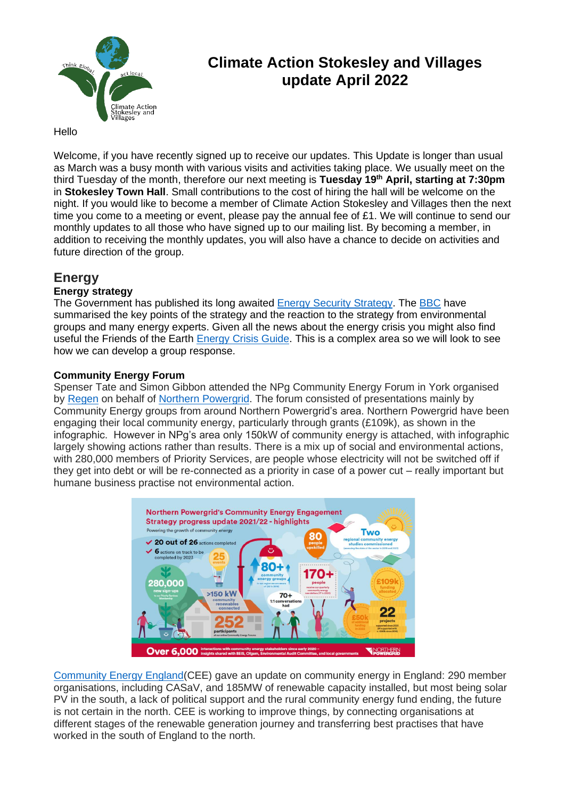

# **Climate Action Stokesley and Villages update April 2022**

## Hello

Welcome, if you have recently signed up to receive our updates. This Update is longer than usual as March was a busy month with various visits and activities taking place. We usually meet on the third Tuesday of the month, therefore our next meeting is **Tuesday 19th April, starting at 7:30pm** in **Stokesley Town Hall**. Small contributions to the cost of hiring the hall will be welcome on the night. If you would like to become a member of Climate Action Stokesley and Villages then the next time you come to a meeting or event, please pay the annual fee of £1. We will continue to send our monthly updates to all those who have signed up to our mailing list. By becoming a member, in addition to receiving the monthly updates, you will also have a chance to decide on activities and future direction of the group.

## **Energy**

## **Energy strategy**

The Government has published its long awaited [Energy Security Strategy.](https://www.gov.uk/government/publications/british-energy-security-strategy/british-energy-security-strategy) The [BBC](https://www.bbc.co.uk/news/business-61010605) have summarised the key points of the strategy and the reaction to the strategy from environmental groups and many energy experts. Given all the news about the energy crisis you might also find useful the Friends of the Earth [Energy Crisis Guide.](https://campaigning.friendsoftheearth.uk/how-guides/how-campaign-energy-crisis) This is a complex area so we will look to see how we can develop a group response.

## **Community Energy Forum**

Spenser Tate and Simon Gibbon attended the NPg Community Energy Forum in York organised by [Regen](https://www.regen.co.uk/) on behalf of [Northern Powergrid.](https://www.northernpowergrid.com/community-energy) The forum consisted of presentations mainly by Community Energy groups from around Northern Powergrid's area. Northern Powergrid have been engaging their local community energy, particularly through grants (£109k), as shown in the infographic. However in NPg's area only 150kW of community energy is attached, with infographic largely showing actions rather than results. There is a mix up of social and environmental actions, with 280,000 members of Priority Services, are people whose electricity will not be switched off if they get into debt or will be re-connected as a priority in case of a power cut – really important but humane business practise not environmental action.



[Community Energy England\(](https://communityenergyengland.org/)CEE) gave an update on community energy in England: 290 member organisations, including CASaV, and 185MW of renewable capacity installed, but most being solar PV in the south, a lack of political support and the rural community energy fund ending, the future is not certain in the north. CEE is working to improve things, by connecting organisations at different stages of the renewable generation journey and transferring best practises that have worked in the south of England to the north.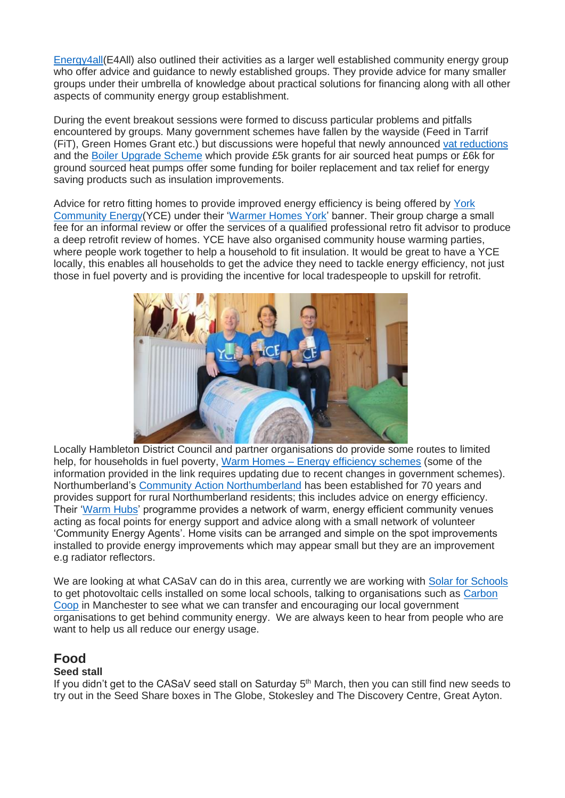[Energy4all\(](https://energy4all.co.uk/)E4All) also outlined their activities as a larger well established community energy group who offer advice and guidance to newly established groups. They provide advice for many smaller groups under their umbrella of knowledge about practical solutions for financing along with all other aspects of community energy group establishment.

During the event breakout sessions were formed to discuss particular problems and pitfalls encountered by groups. Many government schemes have fallen by the wayside (Feed in Tarrif (FiT), Green Homes Grant etc.) but discussions were hopeful that newly announced [vat reductions](https://www.thenewsmarket.com/news/uk-government-0-percent-vat-for-solar-panels-clean-energy-technology-rishi-sunak/s/4cfbefee-fc4f-4405-a9b5-99e238980585) and the [Boiler Upgrade Scheme](https://www.gov.uk/guidance/check-if-you-may-be-eligible-for-the-boiler-upgrade-scheme-from-april-2022) which provide £5k grants for air sourced heat pumps or £6k for ground sourced heat pumps offer some funding for boiler replacement and tax relief for energy saving products such as insulation improvements.

Advice for retro fitting homes to provide improved energy efficiency is being offered by [York](https://yorkcommunityenergy.org.uk/)  [Community Energy\(](https://yorkcommunityenergy.org.uk/)YCE) under their ['Warmer Homes York'](https://yorkcommunityenergy.org.uk/projects/warmer-homes-york/) banner. Their group charge a small fee for an informal review or offer the services of a qualified professional retro fit advisor to produce a deep retrofit review of homes. YCE have also organised community house warming parties, where people work together to help a household to fit insulation. It would be great to have a YCE locally, this enables all households to get the advice they need to tackle energy efficiency, not just those in fuel poverty and is providing the incentive for local tradespeople to upskill for retrofit.



Locally Hambleton District Council and partner organisations do provide some routes to limited help, for households in fuel poverty, Warm Homes – [Energy efficiency schemes](https://www.hambleton.gov.uk/housing/warm-homes?documentId=128&categoryId=20043) (some of the information provided in the link requires updating due to recent changes in government schemes). Northumberland's [Community Action Northumberland](http://ca-north.org.uk/promoting-rural-issues/fuel-poverty-and-energy-efficiency) has been established for 70 years and provides support for rural Northumberland residents; this includes advice on energy efficiency. Their ['Warm Hubs'](http://ca-north.org.uk/supporting-individuals/warm-hubs) programme provides a network of warm, energy efficient community venues acting as focal points for energy support and advice along with a small network of volunteer 'Community Energy Agents'. Home visits can be arranged and simple on the spot improvements installed to provide energy improvements which may appear small but they are an improvement e.g radiator reflectors.

We are looking at what CASaV can do in this area, currently we are working with [Solar for](https://www.solarforschools.co.uk/) Schools to get photovoltaic cells installed on some local schools, talking to organisations such as [Carbon](https://carbon.coop/)  [Coop](https://carbon.coop/) in Manchester to see what we can transfer and encouraging our local government organisations to get behind community energy. We are always keen to hear from people who are want to help us all reduce our energy usage.

## **Food**

## **Seed stall**

If you didn't get to the CASaV seed stall on Saturday 5<sup>th</sup> March, then you can still find new seeds to try out in the Seed Share boxes in The Globe, Stokesley and The Discovery Centre, Great Ayton.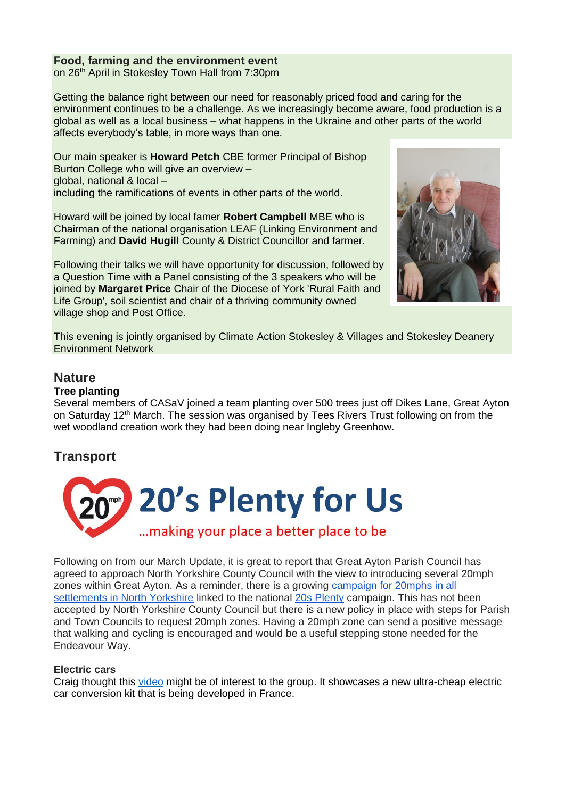## **Food, farming and the environment event**

on 26<sup>th</sup> April in Stokesley Town Hall from 7:30pm

Getting the balance right between our need for reasonably priced food and caring for the environment continues to be a challenge. As we increasingly become aware, food production is a global as well as a local business – what happens in the Ukraine and other parts of the world affects everybody's table, in more ways than one.

Our main speaker is **Howard Petch** CBE former Principal of Bishop Burton College who will give an overview – global, national & local – including the ramifications of events in other parts of the world.

Howard will be joined by local famer **Robert Campbell** MBE who is Chairman of the national organisation LEAF (Linking Environment and Farming) and **David Hugill** County & District Councillor and farmer.

Following their talks we will have opportunity for discussion, followed by a Question Time with a Panel consisting of the 3 speakers who will be joined by **Margaret Price** Chair of the Diocese of York 'Rural Faith and Life Group', soil scientist and chair of a thriving community owned village shop and Post Office.



This evening is jointly organised by Climate Action Stokesley & Villages and Stokesley Deanery Environment Network

## **Nature**

### **Tree planting**

Several members of CASaV joined a team planting over 500 trees just off Dikes Lane, Great Ayton on Saturday 12<sup>th</sup> March. The session was organised by Tees Rivers Trust following on from the wet woodland creation work they had been doing near Ingleby Greenhow.

## **Transport**



Following on from our March Update, it is great to report that Great Ayton Parish Council has agreed to approach North Yorkshire County Council with the view to introducing several 20mph zones within Great Ayton. As a reminder, there is a growing [campaign for 20mphs in all](https://www.facebook.com/groups/2012586572255626)  [settlements in North Yorkshire](https://www.facebook.com/groups/2012586572255626) linked to the national 20s [Plenty](https://www.20splenty.org/) campaign. This has not been accepted by North Yorkshire County Council but there is a new policy in place with steps for Parish and Town Councils to request 20mph zones. Having a 20mph zone can send a positive message that walking and cycling is encouraged and would be a useful stepping stone needed for the Endeavour Way.

### **Electric cars**

Craig thought this [video](https://youtu.be/98mlJ1N50DU) might be of interest to the group. It showcases a new ultra-cheap electric car conversion kit that is being developed in France.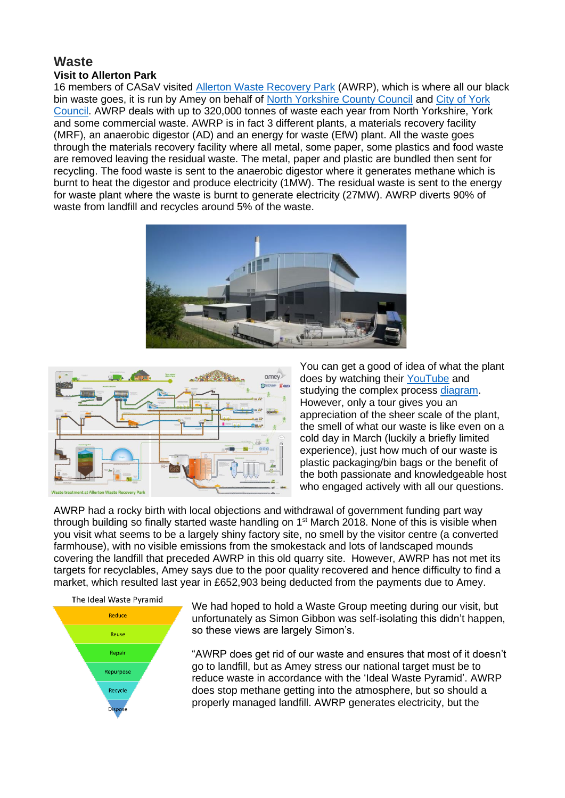### **Waste Visit to Allerton Park**

16 members of CASaV visited [Allerton Waste Recovery Park](https://wasteservices.amey.co.uk/where-we-work/north-yorkshire/) (AWRP), which is where all our black bin waste goes, it is run by Amey on behalf of [North Yorkshire County Council](https://www.northyorks.gov.uk/allerton-waste-recovery-park) and [City of York](https://www.york.gov.uk/waste-recycling/waste-strategy/1)  [Council.](https://www.york.gov.uk/waste-recycling/waste-strategy/1) AWRP deals with up to 320,000 tonnes of waste each year from North Yorkshire, York and some commercial waste. AWRP is in fact 3 different plants, a materials recovery facility (MRF), an anaerobic digestor (AD) and an energy for waste (EfW) plant. All the waste goes through the materials recovery facility where all metal, some paper, some plastics and food waste are removed leaving the residual waste. The metal, paper and plastic are bundled then sent for recycling. The food waste is sent to the anaerobic digestor where it generates methane which is burnt to heat the digestor and produce electricity (1MW). The residual waste is sent to the energy for waste plant where the waste is burnt to generate electricity (27MW). AWRP diverts 90% of waste from landfill and recycles around 5% of the waste.





You can get a good of idea of what the plant does by watching their [YouTube](https://youtu.be/qWl0OFbYz9s) and studying the complex process [diagram.](https://wasteservices.amey.co.uk/media/6467/allerton-waste-recovery-park_process-illustration_oct-2017.png) However, only a tour gives you an appreciation of the sheer scale of the plant, the smell of what our waste is like even on a cold day in March (luckily a briefly limited experience), just how much of our waste is plastic packaging/bin bags or the benefit of the both passionate and knowledgeable host who engaged actively with all our questions.

AWRP had a rocky birth with local objections and withdrawal of government funding part way through building so finally started waste handling on 1<sup>st</sup> March 2018. None of this is visible when you visit what seems to be a largely shiny factory site, no smell by the visitor centre (a converted farmhouse), with no visible emissions from the smokestack and lots of landscaped mounds covering the landfill that preceded AWRP in this old quarry site. However, AWRP has not met its targets for recyclables, Amey says due to the poor quality recovered and hence difficulty to find a market, which resulted last year in £652,903 being deducted from the payments due to Amey.



We had hoped to hold a Waste Group meeting during our visit, but unfortunately as Simon Gibbon was self-isolating this didn't happen, so these views are largely Simon's.

"AWRP does get rid of our waste and ensures that most of it doesn't go to landfill, but as Amey stress our national target must be to reduce waste in accordance with the 'Ideal Waste Pyramid'. AWRP does stop methane getting into the atmosphere, but so should a properly managed landfill. AWRP generates electricity, but the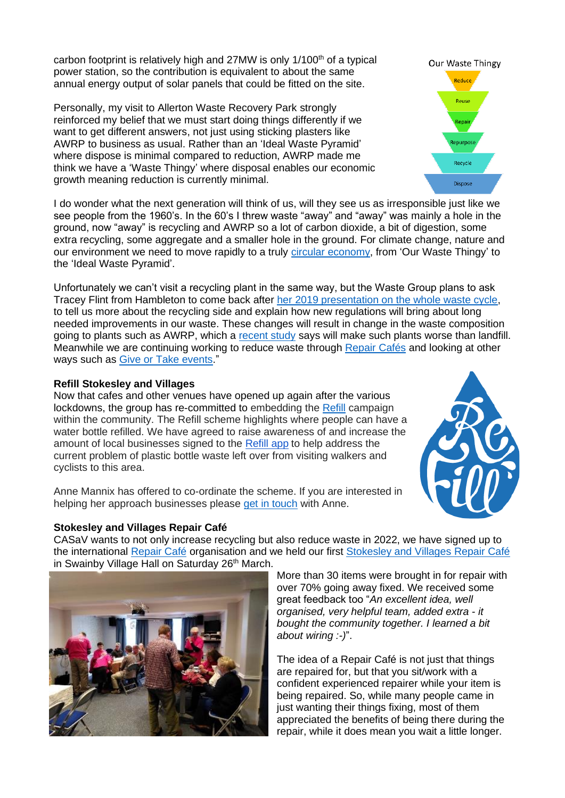carbon footprint is relatively high and 27MW is only  $1/100<sup>th</sup>$  of a typical power station, so the contribution is equivalent to about the same annual energy output of solar panels that could be fitted on the site.

Personally, my visit to Allerton Waste Recovery Park strongly reinforced my belief that we must start doing things differently if we want to get different answers, not just using sticking plasters like AWRP to business as usual. Rather than an 'Ideal Waste Pyramid' where dispose is minimal compared to reduction, AWRP made me think we have a 'Waste Thingy' where disposal enables our economic growth meaning reduction is currently minimal.

I do wonder what the next generation will think of us, will they see us as irresponsible just like we see people from the 1960's. In the 60's I threw waste "away" and "away" was mainly a hole in the ground, now "away" is recycling and AWRP so a lot of carbon dioxide, a bit of digestion, some extra recycling, some aggregate and a smaller hole in the ground. For climate change, nature and our environment we need to move rapidly to a truly [circular economy,](https://ellenmacarthurfoundation.org/topics/circular-economy-introduction/overview) from 'Our Waste Thingy' to the 'Ideal Waste Pyramid'.

Unfortunately we can't visit a recycling plant in the same way, but the Waste Group plans to ask Tracey Flint from Hambleton to come back after [her 2019 presentation on the whole waste cycle,](https://climateactionstokesleyandvillages.org/waste/) to tell us more about the recycling side and explain how new regulations will bring about long needed improvements in our waste. These changes will result in change in the waste composition going to plants such as AWRP, which a [recent study](https://www.letsrecycle.com/news/energy-from-waste-could-become-worse-than-landfill/) says will make such plants worse than landfill. Meanwhile we are continuing working to reduce waste through [Repair](https://climateactionstokesleyandvillages.org/waste/stokesley-and-villages-repair-cafe/) Cafés and looking at other ways such as [Give or Take events.](https://www.kirkbymoorside.info/give-or-take-day-returns/)"

## **Refill Stokesley and Villages**

Now that cafes and other venues have opened up again after the various lockdowns, the group has re-committed to embedding the [Refill](https://www.refill.org.uk/) campaign within the community. The Refill scheme highlights where people can have a water bottle refilled. We have agreed to raise awareness of and increase the amount of local businesses signed to the [Refill app](https://www.refill.org.uk/) to help address the current problem of plastic bottle waste left over from visiting walkers and cyclists to this area.

Anne Mannix has offered to co-ordinate the scheme. If you are interested in helping her approach businesses please [get in touch](mailto:aemannix@aol.com) with Anne.

### **Stokesley and Villages Repair Café**

CASaV wants to not only increase recycling but also reduce waste in 2022, we have signed up to the international [Repair Café](https://www.repaircafe.org/en/) organisation and we held our first [Stokesley and Villages Repair Café](https://climateactionstokesleyandvillages.org/waste/stokesley-and-villages-repair-cafe/) in Swainby Village Hall on Saturday 26<sup>th</sup> March.

More than 30 items were brought in for repair with over 70% going away fixed. We received some great feedback too "*An excellent idea, well organised, very helpful team, added extra - it bought the community together. I learned a bit about wiring :-)*".

The idea of a Repair Café is not just that things are repaired for, but that you sit/work with a confident experienced repairer while your item is being repaired. So, while many people came in just wanting their things fixing, most of them appreciated the benefits of being there during the repair, while it does mean you wait a little longer.